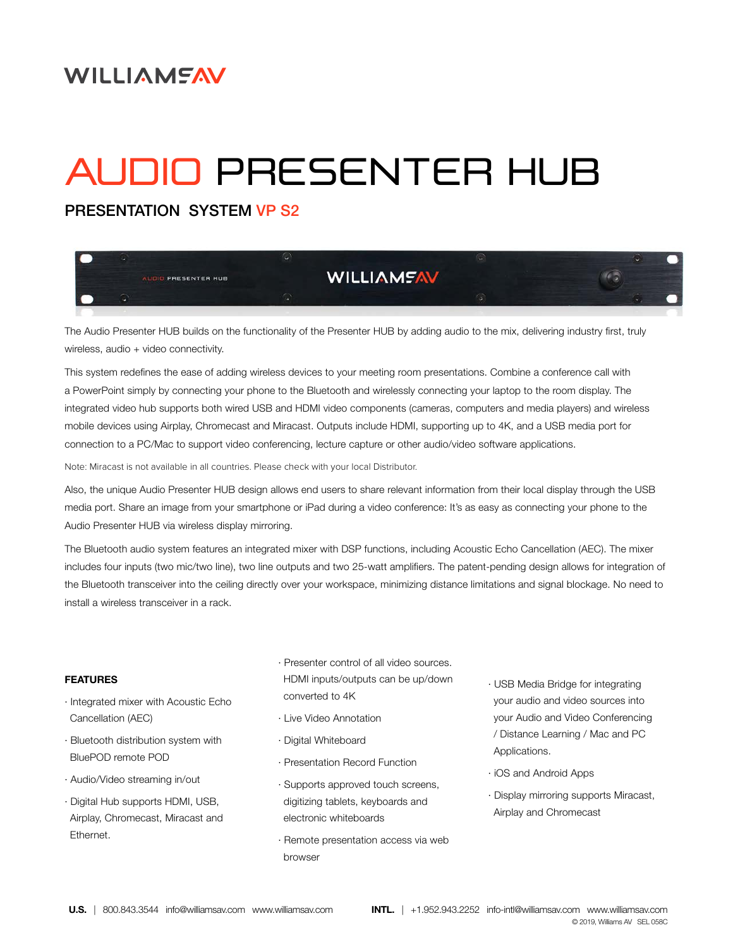## **WILLIAMEAV**

# AUDIO PRESENTER HUB

PRESENTATION SYSTEM VP S2



The Audio Presenter HUB builds on the functionality of the Presenter HUB by adding audio to the mix, delivering industry first, truly wireless, audio + video connectivity.

This system redefines the ease of adding wireless devices to your meeting room presentations. Combine a conference call with a PowerPoint simply by connecting your phone to the Bluetooth and wirelessly connecting your laptop to the room display. The integrated video hub supports both wired USB and HDMI video components (cameras, computers and media players) and wireless mobile devices using Airplay, Chromecast and Miracast. Outputs include HDMI, supporting up to 4K, and a USB media port for connection to a PC/Mac to support video conferencing, lecture capture or other audio/video software applications.

Note: Miracast is not available in all countries. Please check with your local Distributor.

Also, the unique Audio Presenter HUB design allows end users to share relevant information from their local display through the USB media port. Share an image from your smartphone or iPad during a video conference: It's as easy as connecting your phone to the Audio Presenter HUB via wireless display mirroring.

The Bluetooth audio system features an integrated mixer with DSP functions, including Acoustic Echo Cancellation (AEC). The mixer includes four inputs (two mic/two line), two line outputs and two 25-watt amplifiers. The patent-pending design allows for integration of the Bluetooth transceiver into the ceiling directly over your workspace, minimizing distance limitations and signal blockage. No need to install a wireless transceiver in a rack.

#### **FEATURES**

- · Integrated mixer with Acoustic Echo Cancellation (AEC)
- · Bluetooth distribution system with BluePOD remote POD
- · Audio/Video streaming in/out
- · Digital Hub supports HDMI, USB, Airplay, Chromecast, Miracast and Ethernet.
- · Presenter control of all video sources. HDMI inputs/outputs can be up/down converted to 4K
- · Live Video Annotation
- · Digital Whiteboard
- · Presentation Record Function
- · Supports approved touch screens, digitizing tablets, keyboards and electronic whiteboards
- · Remote presentation access via web browser
- · USB Media Bridge for integrating your audio and video sources into your Audio and Video Conferencing / Distance Learning / Mac and PC Applications.
- · iOS and Android Apps
- · Display mirroring supports Miracast, Airplay and Chromecast